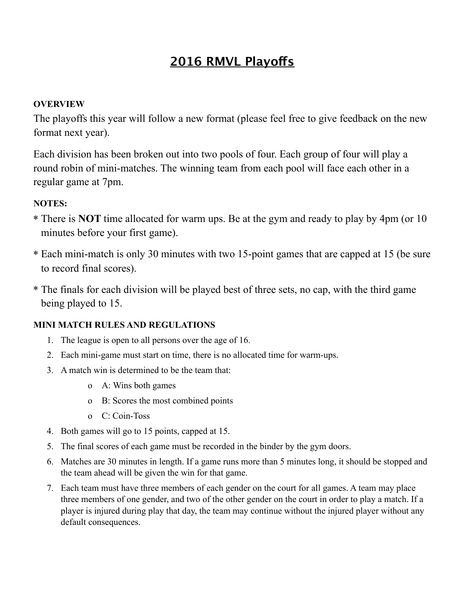## **2016 RMVL Playofs**

### **OVERVIEW**

The playoffs this year will follow a new format (please feel free to give feedback on the new format next year).

Each division has been broken out into two pools of four. Each group of four will play a round robin of mini-matches. The winning team from each pool will face each other in a regular game at 7pm.

### **NOTES:**

- \* There is **NOT** time allocated for warm ups. Be at the gym and ready to play by 4pm (or 10 minutes before your first game).
- \* Each mini-match is only 30 minutes with two 15-point games that are capped at 15 (be sure to record final scores).
- \* The finals for each division will be played best of three sets, no cap, with the third game being played to 15.

### **MINI MATCH RULES AND REGULATIONS**

- 1. The league is open to all persons over the age of 16.
- 2. Each mini-game must start on time, there is no allocated time for warm-ups.
- 3. A match win is determined to be the team that:
	- o A: Wins both games
	- o B: Scores the most combined points
	- o C: Coin-Toss
- 4. Both games will go to 15 points, capped at 15.
- 5. The final scores of each game must be recorded in the binder by the gym doors.
- 6. Matches are 30 minutes in length. If a game runs more than 5 minutes long, it should be stopped and the team ahead will be given the win for that game.
- 7. Each team must have three members of each gender on the court for all games. A team may place three members of one gender, and two of the other gender on the court in order to play a match. If a player is injured during play that day, the team may continue without the injured player without any default consequences.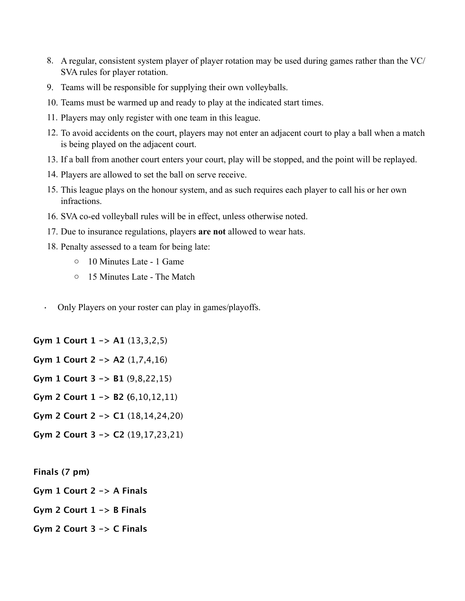- 8. A regular, consistent system player of player rotation may be used during games rather than the VC/ SVA rules for player rotation.
- 9. Teams will be responsible for supplying their own volleyballs.
- 10. Teams must be warmed up and ready to play at the indicated start times.
- 11. Players may only register with one team in this league.
- 12. To avoid accidents on the court, players may not enter an adjacent court to play a ball when a match is being played on the adjacent court.
- 13. If a ball from another court enters your court, play will be stopped, and the point will be replayed.
- 14. Players are allowed to set the ball on serve receive.
- 15. This league plays on the honour system, and as such requires each player to call his or her own infractions.
- 16. SVA co-ed volleyball rules will be in effect, unless otherwise noted.
- 17. Due to insurance regulations, players **are not** allowed to wear hats.
- 18. Penalty assessed to a team for being late:
	- o 10 Minutes Late 1 Game
	- o 15 Minutes Late The Match
- Only Players on your roster can play in games/playoffs.

**Gym 1 Court 1 -> A1** (13,3,2,5)

- **Gym 1 Court 2 -> A2** (1,7,4,16)
- **Gym 1 Court 3 -> B1** (9,8,22,15)
- **Gym 2 Court 1 -> B2 (**6,10,12,11)
- **Gym 2 Court 2 -> C1** (18,14,24,20)
- **Gym 2 Court 3 -> C2** (19,17,23,21)
- **Finals (7 pm)**
- **Gym 1 Court 2 -> A Finals**
- **Gym 2 Court 1 -> B Finals**
- **Gym 2 Court 3 -> C Finals**